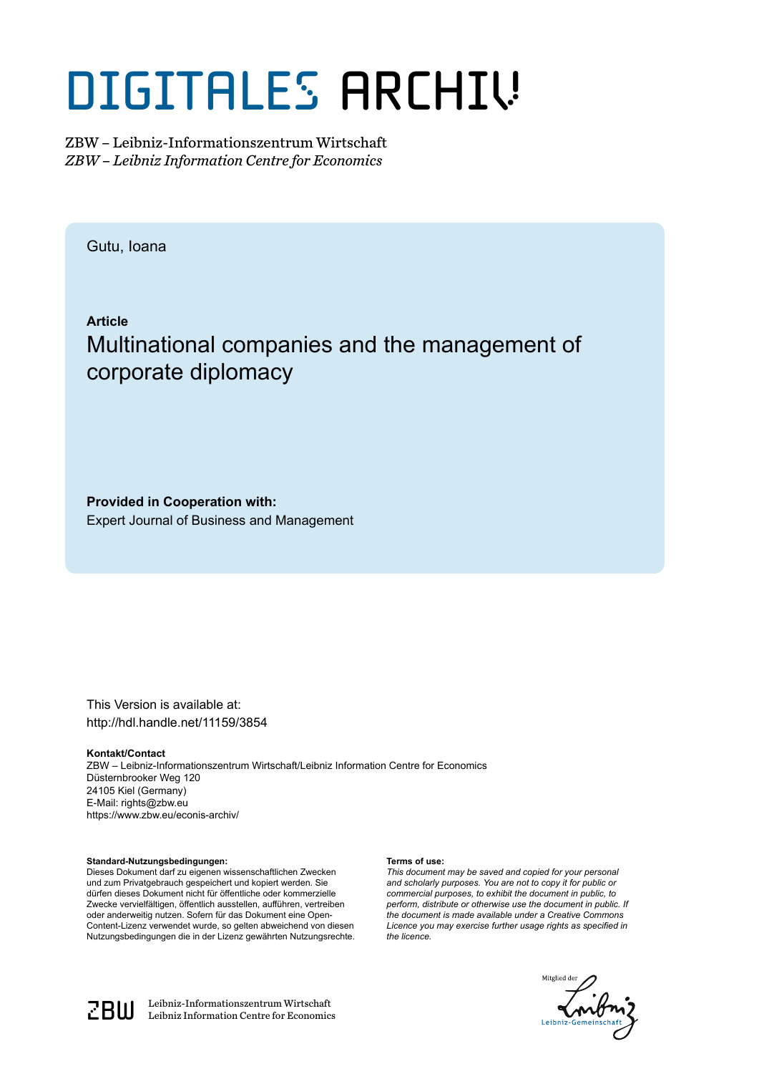# DIGITALES ARCHIV

ZBW – Leibniz-Informationszentrum Wirtschaft *ZBW – Leibniz Information Centre for Economics*

Gutu, Ioana

**Article** Multinational companies and the management of corporate diplomacy

**Provided in Cooperation with:** Expert Journal of Business and Management

This Version is available at: http://hdl.handle.net/11159/3854

**Kontakt/Contact** ZBW – Leibniz-Informationszentrum Wirtschaft/Leibniz Information Centre for Economics Düsternbrooker Weg 120

24105 Kiel (Germany) E-Mail: rights@zbw.eu https://www.zbw.eu/econis-archiv/

**Standard-Nutzungsbedingungen:**

Dieses Dokument darf zu eigenen wissenschaftlichen Zwecken und zum Privatgebrauch gespeichert und kopiert werden. Sie dürfen dieses Dokument nicht für öffentliche oder kommerzielle Zwecke vervielfältigen, öffentlich ausstellen, aufführen, vertreiben oder anderweitig nutzen. Sofern für das Dokument eine Open-Content-Lizenz verwendet wurde, so gelten abweichend von diesen Nutzungsbedingungen die in der Lizenz gewährten Nutzungsrechte.

#### **Terms of use:**

*This document may be saved and copied for your personal and scholarly purposes. You are not to copy it for public or commercial purposes, to exhibit the document in public, to perform, distribute or otherwise use the document in public. If the document is made available under a Creative Commons Licence you may exercise further usage rights as specified in the licence.*





 $\mathbb{Z} \text{B} \text{U}$  Leibniz-Informationszentrum Wirtschaft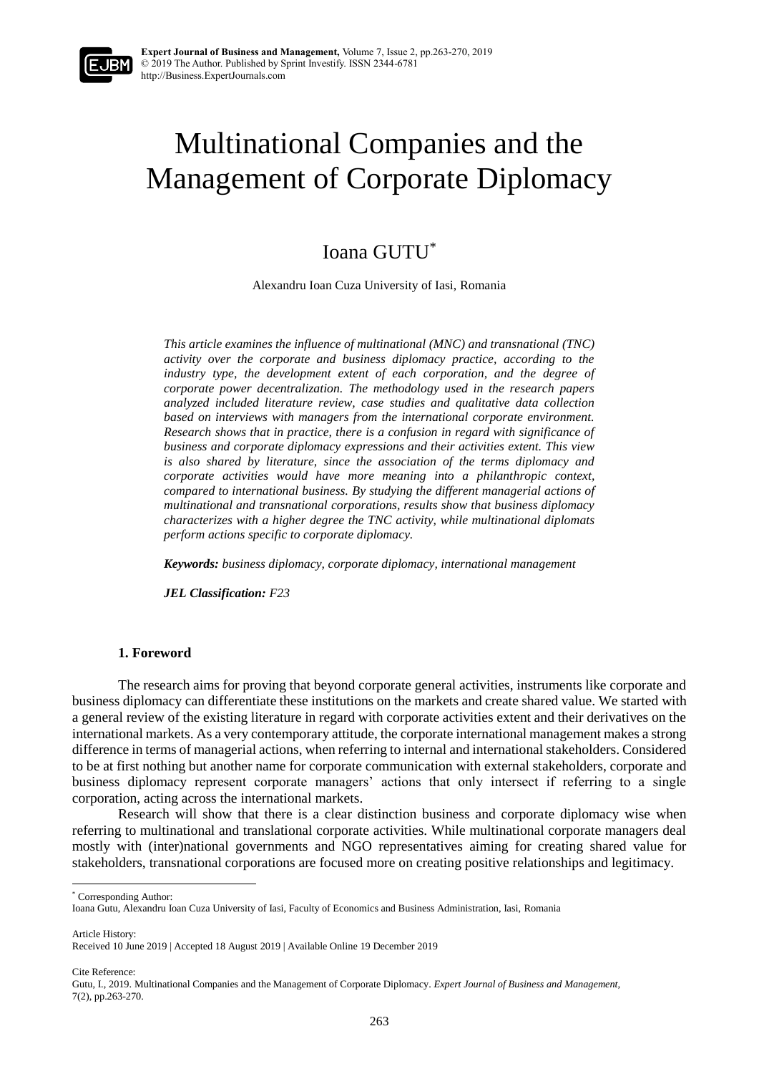## Multinational Companies and the Management of Corporate Diplomacy

### Ioana GUTU\*

Alexandru Ioan Cuza University of Iasi, Romania

*This article examines the influence of multinational (MNC) and transnational (TNC) activity over the corporate and business diplomacy practice, according to the industry type, the development extent of each corporation, and the degree of corporate power decentralization. The methodology used in the research papers analyzed included literature review, case studies and qualitative data collection based on interviews with managers from the international corporate environment. Research shows that in practice, there is a confusion in regard with significance of business and corporate diplomacy expressions and their activities extent. This view is also shared by literature, since the association of the terms diplomacy and corporate activities would have more meaning into a philanthropic context, compared to international business. By studying the different managerial actions of multinational and transnational corporations, results show that business diplomacy characterizes with a higher degree the TNC activity, while multinational diplomats perform actions specific to corporate diplomacy.* 

*Keywords: business diplomacy, corporate diplomacy, international management*

*JEL Classification: F23*

#### **1. Foreword**

The research aims for proving that beyond corporate general activities, instruments like corporate and business diplomacy can differentiate these institutions on the markets and create shared value. We started with a general review of the existing literature in regard with corporate activities extent and their derivatives on the international markets. As a very contemporary attitude, the corporate international management makes a strong difference in terms of managerial actions, when referring to internal and international stakeholders. Considered to be at first nothing but another name for corporate communication with external stakeholders, corporate and business diplomacy represent corporate managers' actions that only intersect if referring to a single corporation, acting across the international markets.

Research will show that there is a clear distinction business and corporate diplomacy wise when referring to multinational and translational corporate activities. While multinational corporate managers deal mostly with (inter)national governments and NGO representatives aiming for creating shared value for stakeholders, transnational corporations are focused more on creating positive relationships and legitimacy.

\* Corresponding Author:

Article History:

**.** 

Cite Reference:

Ioana Gutu, Alexandru Ioan Cuza University of Iasi, Faculty of Economics and Business Administration, Iasi, Romania

Received 10 June 2019 | Accepted 18 August 2019 | Available Online 19 December 2019

Gutu, I., 2019. Multinational Companies and the Management of Corporate Diplomacy. *Expert Journal of Business and Management,* 7(2), pp.263-270.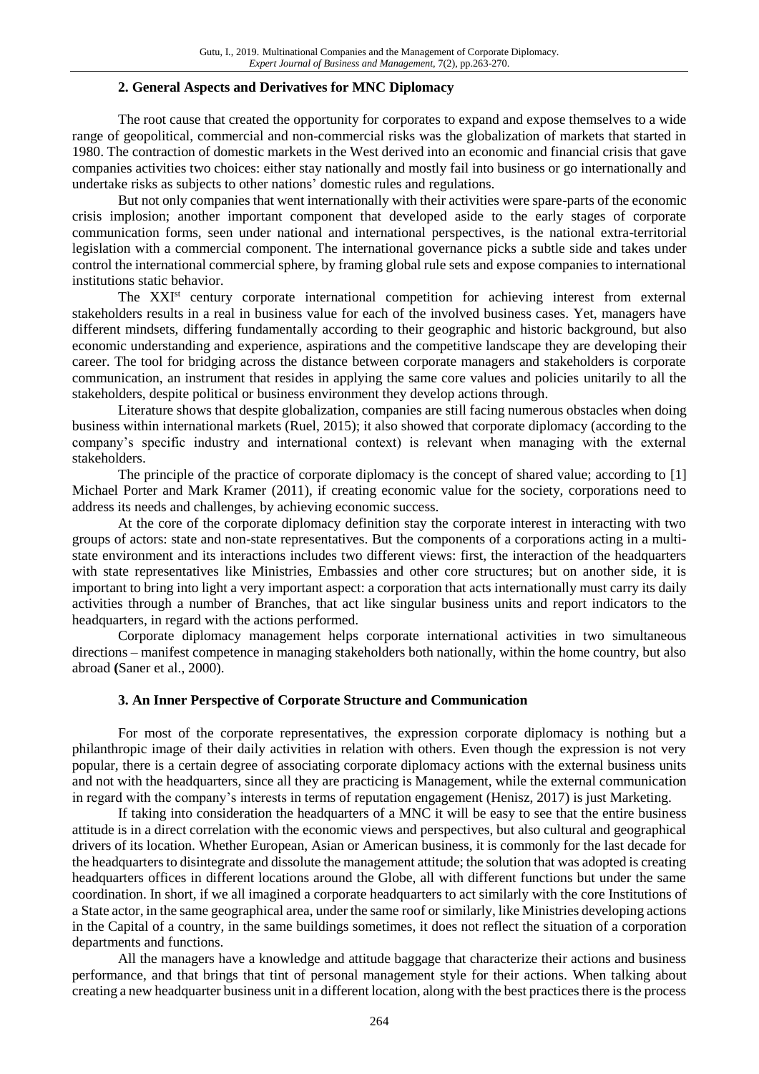#### **2. General Aspects and Derivatives for MNC Diplomacy**

The root cause that created the opportunity for corporates to expand and expose themselves to a wide range of geopolitical, commercial and non-commercial risks was the globalization of markets that started in 1980. The contraction of domestic markets in the West derived into an economic and financial crisis that gave companies activities two choices: either stay nationally and mostly fail into business or go internationally and undertake risks as subjects to other nations' domestic rules and regulations.

But not only companies that went internationally with their activities were spare-parts of the economic crisis implosion; another important component that developed aside to the early stages of corporate communication forms, seen under national and international perspectives, is the national extra-territorial legislation with a commercial component. The international governance picks a subtle side and takes under control the international commercial sphere, by framing global rule sets and expose companies to international institutions static behavior.

The XXI<sup>st</sup> century corporate international competition for achieving interest from external stakeholders results in a real in business value for each of the involved business cases. Yet, managers have different mindsets, differing fundamentally according to their geographic and historic background, but also economic understanding and experience, aspirations and the competitive landscape they are developing their career. The tool for bridging across the distance between corporate managers and stakeholders is corporate communication, an instrument that resides in applying the same core values and policies unitarily to all the stakeholders, despite political or business environment they develop actions through.

Literature shows that despite globalization, companies are still facing numerous obstacles when doing business within international markets (Ruel, 2015); it also showed that corporate diplomacy (according to the company's specific industry and international context) is relevant when managing with the external stakeholders.

The principle of the practice of corporate diplomacy is the concept of shared value; according to [1] Michael Porter and Mark Kramer (2011), if creating economic value for the society, corporations need to address its needs and challenges, by achieving economic success.

At the core of the corporate diplomacy definition stay the corporate interest in interacting with two groups of actors: state and non-state representatives. But the components of a corporations acting in a multistate environment and its interactions includes two different views: first, the interaction of the headquarters with state representatives like Ministries, Embassies and other core structures; but on another side, it is important to bring into light a very important aspect: a corporation that acts internationally must carry its daily activities through a number of Branches, that act like singular business units and report indicators to the headquarters, in regard with the actions performed.

Corporate diplomacy management helps corporate international activities in two simultaneous directions – manifest competence in managing stakeholders both nationally, within the home country, but also abroad **(**Saner et al., 2000).

#### **3. An Inner Perspective of Corporate Structure and Communication**

For most of the corporate representatives, the expression corporate diplomacy is nothing but a philanthropic image of their daily activities in relation with others. Even though the expression is not very popular, there is a certain degree of associating corporate diplomacy actions with the external business units and not with the headquarters, since all they are practicing is Management, while the external communication in regard with the company's interests in terms of reputation engagement (Henisz, 2017) is just Marketing.

If taking into consideration the headquarters of a MNC it will be easy to see that the entire business attitude is in a direct correlation with the economic views and perspectives, but also cultural and geographical drivers of its location. Whether European, Asian or American business, it is commonly for the last decade for the headquarters to disintegrate and dissolute the management attitude; the solution that was adopted is creating headquarters offices in different locations around the Globe, all with different functions but under the same coordination. In short, if we all imagined a corporate headquarters to act similarly with the core Institutions of a State actor, in the same geographical area, under the same roof or similarly, like Ministries developing actions in the Capital of a country, in the same buildings sometimes, it does not reflect the situation of a corporation departments and functions.

All the managers have a knowledge and attitude baggage that characterize their actions and business performance, and that brings that tint of personal management style for their actions. When talking about creating a new headquarter business unit in a different location, along with the best practices there is the process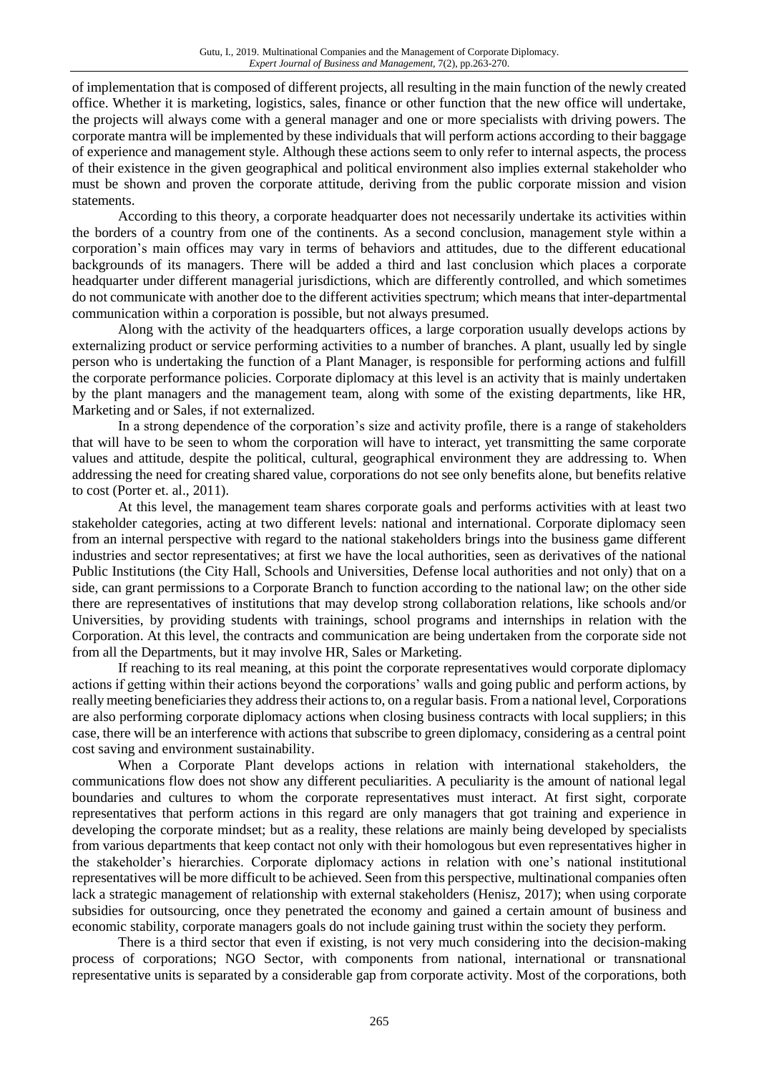of implementation that is composed of different projects, all resulting in the main function of the newly created office. Whether it is marketing, logistics, sales, finance or other function that the new office will undertake, the projects will always come with a general manager and one or more specialists with driving powers. The corporate mantra will be implemented by these individuals that will perform actions according to their baggage of experience and management style. Although these actions seem to only refer to internal aspects, the process of their existence in the given geographical and political environment also implies external stakeholder who must be shown and proven the corporate attitude, deriving from the public corporate mission and vision statements.

According to this theory, a corporate headquarter does not necessarily undertake its activities within the borders of a country from one of the continents. As a second conclusion, management style within a corporation's main offices may vary in terms of behaviors and attitudes, due to the different educational backgrounds of its managers. There will be added a third and last conclusion which places a corporate headquarter under different managerial jurisdictions, which are differently controlled, and which sometimes do not communicate with another doe to the different activities spectrum; which means that inter-departmental communication within a corporation is possible, but not always presumed.

Along with the activity of the headquarters offices, a large corporation usually develops actions by externalizing product or service performing activities to a number of branches. A plant, usually led by single person who is undertaking the function of a Plant Manager, is responsible for performing actions and fulfill the corporate performance policies. Corporate diplomacy at this level is an activity that is mainly undertaken by the plant managers and the management team, along with some of the existing departments, like HR, Marketing and or Sales, if not externalized.

In a strong dependence of the corporation's size and activity profile, there is a range of stakeholders that will have to be seen to whom the corporation will have to interact, yet transmitting the same corporate values and attitude, despite the political, cultural, geographical environment they are addressing to. When addressing the need for creating shared value, corporations do not see only benefits alone, but benefits relative to cost (Porter et. al., 2011).

At this level, the management team shares corporate goals and performs activities with at least two stakeholder categories, acting at two different levels: national and international. Corporate diplomacy seen from an internal perspective with regard to the national stakeholders brings into the business game different industries and sector representatives; at first we have the local authorities, seen as derivatives of the national Public Institutions (the City Hall, Schools and Universities, Defense local authorities and not only) that on a side, can grant permissions to a Corporate Branch to function according to the national law; on the other side there are representatives of institutions that may develop strong collaboration relations, like schools and/or Universities, by providing students with trainings, school programs and internships in relation with the Corporation. At this level, the contracts and communication are being undertaken from the corporate side not from all the Departments, but it may involve HR, Sales or Marketing.

If reaching to its real meaning, at this point the corporate representatives would corporate diplomacy actions if getting within their actions beyond the corporations' walls and going public and perform actions, by really meeting beneficiaries they address their actions to, on a regular basis. From a national level, Corporations are also performing corporate diplomacy actions when closing business contracts with local suppliers; in this case, there will be an interference with actions that subscribe to green diplomacy, considering as a central point cost saving and environment sustainability.

When a Corporate Plant develops actions in relation with international stakeholders, the communications flow does not show any different peculiarities. A peculiarity is the amount of national legal boundaries and cultures to whom the corporate representatives must interact. At first sight, corporate representatives that perform actions in this regard are only managers that got training and experience in developing the corporate mindset; but as a reality, these relations are mainly being developed by specialists from various departments that keep contact not only with their homologous but even representatives higher in the stakeholder's hierarchies. Corporate diplomacy actions in relation with one's national institutional representatives will be more difficult to be achieved. Seen from this perspective, multinational companies often lack a strategic management of relationship with external stakeholders (Henisz, 2017); when using corporate subsidies for outsourcing, once they penetrated the economy and gained a certain amount of business and economic stability, corporate managers goals do not include gaining trust within the society they perform.

There is a third sector that even if existing, is not very much considering into the decision-making process of corporations; NGO Sector, with components from national, international or transnational representative units is separated by a considerable gap from corporate activity. Most of the corporations, both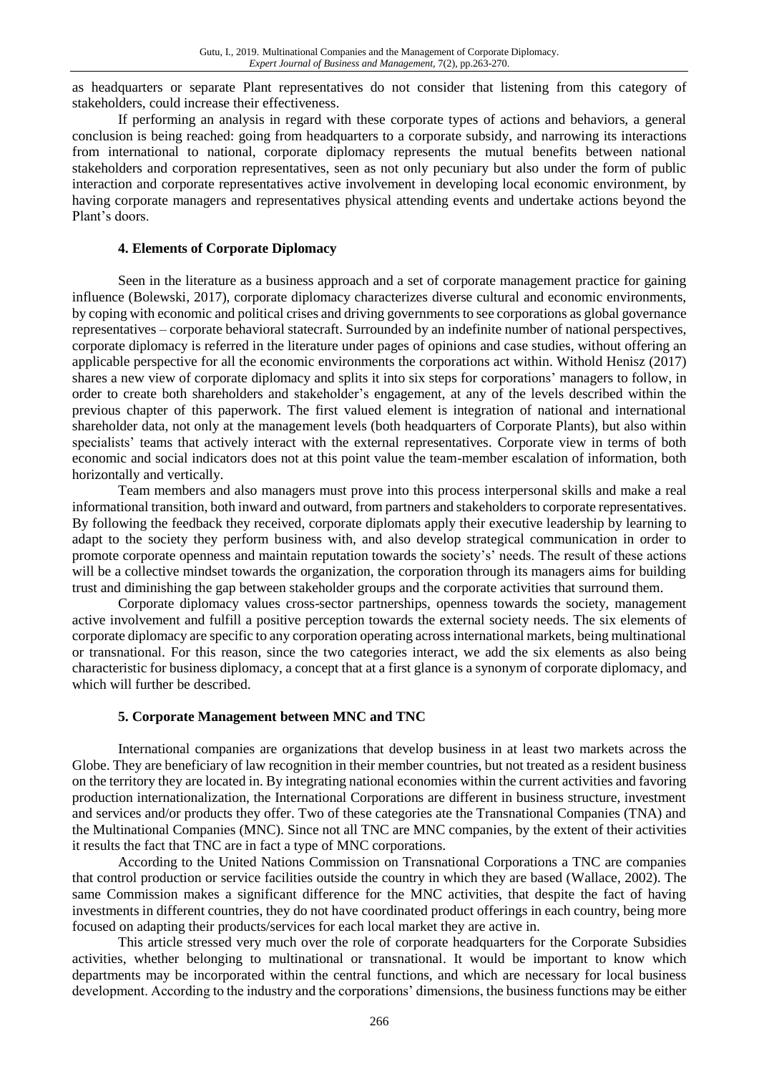as headquarters or separate Plant representatives do not consider that listening from this category of stakeholders, could increase their effectiveness.

If performing an analysis in regard with these corporate types of actions and behaviors, a general conclusion is being reached: going from headquarters to a corporate subsidy, and narrowing its interactions from international to national, corporate diplomacy represents the mutual benefits between national stakeholders and corporation representatives, seen as not only pecuniary but also under the form of public interaction and corporate representatives active involvement in developing local economic environment, by having corporate managers and representatives physical attending events and undertake actions beyond the Plant's doors.

#### **4. Elements of Corporate Diplomacy**

Seen in the literature as a business approach and a set of corporate management practice for gaining influence (Bolewski, 2017), corporate diplomacy characterizes diverse cultural and economic environments, by coping with economic and political crises and driving governments to see corporations as global governance representatives – corporate behavioral statecraft. Surrounded by an indefinite number of national perspectives, corporate diplomacy is referred in the literature under pages of opinions and case studies, without offering an applicable perspective for all the economic environments the corporations act within. Withold Henisz (2017) shares a new view of corporate diplomacy and splits it into six steps for corporations' managers to follow, in order to create both shareholders and stakeholder's engagement, at any of the levels described within the previous chapter of this paperwork. The first valued element is integration of national and international shareholder data, not only at the management levels (both headquarters of Corporate Plants), but also within specialists' teams that actively interact with the external representatives. Corporate view in terms of both economic and social indicators does not at this point value the team-member escalation of information, both horizontally and vertically.

Team members and also managers must prove into this process interpersonal skills and make a real informational transition, both inward and outward, from partners and stakeholders to corporate representatives. By following the feedback they received, corporate diplomats apply their executive leadership by learning to adapt to the society they perform business with, and also develop strategical communication in order to promote corporate openness and maintain reputation towards the society's' needs. The result of these actions will be a collective mindset towards the organization, the corporation through its managers aims for building trust and diminishing the gap between stakeholder groups and the corporate activities that surround them.

Corporate diplomacy values cross-sector partnerships, openness towards the society, management active involvement and fulfill a positive perception towards the external society needs. The six elements of corporate diplomacy are specific to any corporation operating across international markets, being multinational or transnational. For this reason, since the two categories interact, we add the six elements as also being characteristic for business diplomacy, a concept that at a first glance is a synonym of corporate diplomacy, and which will further be described.

#### **5. Corporate Management between MNC and TNC**

International companies are organizations that develop business in at least two markets across the Globe. They are beneficiary of law recognition in their member countries, but not treated as a resident business on the territory they are located in. By integrating national economies within the current activities and favoring production internationalization, the International Corporations are different in business structure, investment and services and/or products they offer. Two of these categories ate the Transnational Companies (TNA) and the Multinational Companies (MNC). Since not all TNC are MNC companies, by the extent of their activities it results the fact that TNC are in fact a type of MNC corporations.

According to the United Nations Commission on Transnational Corporations a TNC are companies that control production or service facilities outside the country in which they are based (Wallace, 2002). The same Commission makes a significant difference for the MNC activities, that despite the fact of having investments in different countries, they do not have coordinated product offerings in each country, being more focused on adapting their products/services for each local market they are active in.

This article stressed very much over the role of corporate headquarters for the Corporate Subsidies activities, whether belonging to multinational or transnational. It would be important to know which departments may be incorporated within the central functions, and which are necessary for local business development. According to the industry and the corporations' dimensions, the business functions may be either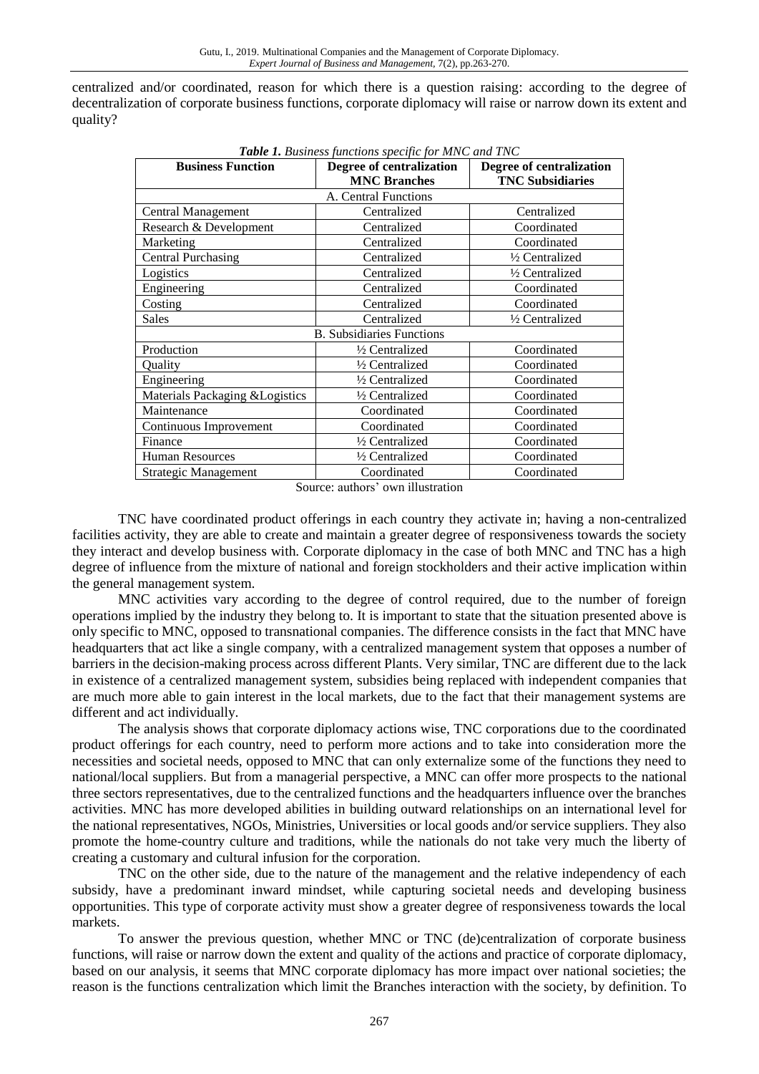centralized and/or coordinated, reason for which there is a question raising: according to the degree of decentralization of corporate business functions, corporate diplomacy will raise or narrow down its extent and quality?

| <b>Table 1.</b> Business functions specific for MNC and TNC |                          |                          |
|-------------------------------------------------------------|--------------------------|--------------------------|
| <b>Business Function</b>                                    | Degree of centralization | Degree of centralization |
|                                                             | <b>MNC Branches</b>      | <b>TNC Subsidiaries</b>  |
| A. Central Functions                                        |                          |                          |
| <b>Central Management</b>                                   | Centralized              | Centralized              |
| Research & Development                                      | Centralized              | Coordinated              |
| Marketing                                                   | Centralized              | Coordinated              |
| <b>Central Purchasing</b>                                   | Centralized              | 1/2 Centralized          |
| Logistics                                                   | Centralized              | 1/2 Centralized          |
| Engineering                                                 | Centralized              | Coordinated              |
| Costing                                                     | Centralized              | Coordinated              |
| <b>Sales</b>                                                | Centralized              | 1/2 Centralized          |
| <b>B.</b> Subsidiaries Functions                            |                          |                          |
| Production                                                  | 1/2 Centralized          | Coordinated              |
| Ouality                                                     | 1/2 Centralized          | Coordinated              |
| Engineering                                                 | 1/2 Centralized          | Coordinated              |
| Materials Packaging & Logistics                             | 1/2 Centralized          | Coordinated              |
| Maintenance                                                 | Coordinated              | Coordinated              |
| Continuous Improvement                                      | Coordinated              | Coordinated              |
| Finance                                                     | 1/2 Centralized          | Coordinated              |
| Human Resources                                             | 1/2 Centralized          | Coordinated              |
| Strategic Management                                        | Coordinated              | Coordinated              |

*Table 1. Business functions specific for MNC and TNC*

Source: authors' own illustration

TNC have coordinated product offerings in each country they activate in; having a non-centralized facilities activity, they are able to create and maintain a greater degree of responsiveness towards the society they interact and develop business with. Corporate diplomacy in the case of both MNC and TNC has a high degree of influence from the mixture of national and foreign stockholders and their active implication within the general management system.

MNC activities vary according to the degree of control required, due to the number of foreign operations implied by the industry they belong to. It is important to state that the situation presented above is only specific to MNC, opposed to transnational companies. The difference consists in the fact that MNC have headquarters that act like a single company, with a centralized management system that opposes a number of barriers in the decision-making process across different Plants. Very similar, TNC are different due to the lack in existence of a centralized management system, subsidies being replaced with independent companies that are much more able to gain interest in the local markets, due to the fact that their management systems are different and act individually.

The analysis shows that corporate diplomacy actions wise, TNC corporations due to the coordinated product offerings for each country, need to perform more actions and to take into consideration more the necessities and societal needs, opposed to MNC that can only externalize some of the functions they need to national/local suppliers. But from a managerial perspective, a MNC can offer more prospects to the national three sectors representatives, due to the centralized functions and the headquarters influence over the branches activities. MNC has more developed abilities in building outward relationships on an international level for the national representatives, NGOs, Ministries, Universities or local goods and/or service suppliers. They also promote the home-country culture and traditions, while the nationals do not take very much the liberty of creating a customary and cultural infusion for the corporation.

TNC on the other side, due to the nature of the management and the relative independency of each subsidy, have a predominant inward mindset, while capturing societal needs and developing business opportunities. This type of corporate activity must show a greater degree of responsiveness towards the local markets.

To answer the previous question, whether MNC or TNC (de)centralization of corporate business functions, will raise or narrow down the extent and quality of the actions and practice of corporate diplomacy, based on our analysis, it seems that MNC corporate diplomacy has more impact over national societies; the reason is the functions centralization which limit the Branches interaction with the society, by definition. To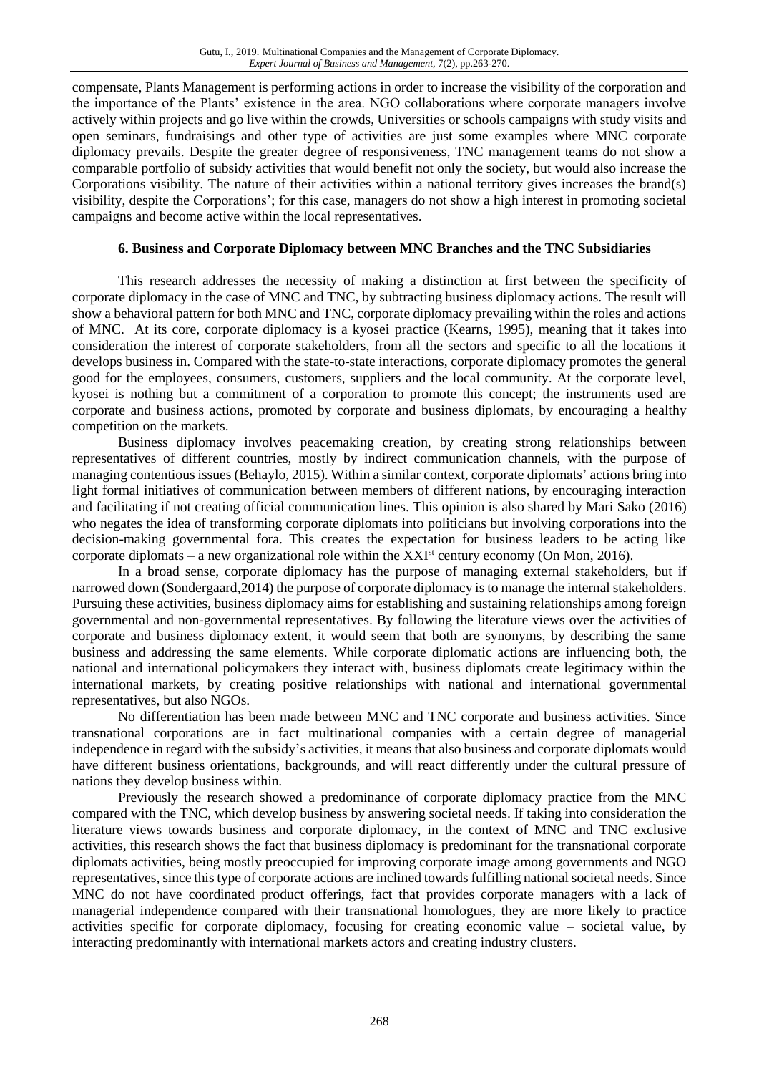compensate, Plants Management is performing actions in order to increase the visibility of the corporation and the importance of the Plants' existence in the area. NGO collaborations where corporate managers involve actively within projects and go live within the crowds, Universities or schools campaigns with study visits and open seminars, fundraisings and other type of activities are just some examples where MNC corporate diplomacy prevails. Despite the greater degree of responsiveness, TNC management teams do not show a comparable portfolio of subsidy activities that would benefit not only the society, but would also increase the Corporations visibility. The nature of their activities within a national territory gives increases the brand(s) visibility, despite the Corporations'; for this case, managers do not show a high interest in promoting societal campaigns and become active within the local representatives.

#### **6. Business and Corporate Diplomacy between MNC Branches and the TNC Subsidiaries**

This research addresses the necessity of making a distinction at first between the specificity of corporate diplomacy in the case of MNC and TNC, by subtracting business diplomacy actions. The result will show a behavioral pattern for both MNC and TNC, corporate diplomacy prevailing within the roles and actions of MNC. At its core, corporate diplomacy is a kyosei practice (Kearns, 1995), meaning that it takes into consideration the interest of corporate stakeholders, from all the sectors and specific to all the locations it develops business in. Compared with the state-to-state interactions, corporate diplomacy promotes the general good for the employees, consumers, customers, suppliers and the local community. At the corporate level, kyosei is nothing but a commitment of a corporation to promote this concept; the instruments used are corporate and business actions, promoted by corporate and business diplomats, by encouraging a healthy competition on the markets.

Business diplomacy involves peacemaking creation, by creating strong relationships between representatives of different countries, mostly by indirect communication channels, with the purpose of managing contentious issues (Behaylo, 2015). Within a similar context, corporate diplomats' actions bring into light formal initiatives of communication between members of different nations, by encouraging interaction and facilitating if not creating official communication lines. This opinion is also shared by Mari Sako (2016) who negates the idea of transforming corporate diplomats into politicians but involving corporations into the decision-making governmental fora. This creates the expectation for business leaders to be acting like corporate diplomats – a new organizational role within the  $XXI<sup>st</sup>$  century economy (On Mon, 2016).

In a broad sense, corporate diplomacy has the purpose of managing external stakeholders, but if narrowed down (Sondergaard,2014) the purpose of corporate diplomacy is to manage the internal stakeholders. Pursuing these activities, business diplomacy aims for establishing and sustaining relationships among foreign governmental and non-governmental representatives. By following the literature views over the activities of corporate and business diplomacy extent, it would seem that both are synonyms, by describing the same business and addressing the same elements. While corporate diplomatic actions are influencing both, the national and international policymakers they interact with, business diplomats create legitimacy within the international markets, by creating positive relationships with national and international governmental representatives, but also NGOs.

No differentiation has been made between MNC and TNC corporate and business activities. Since transnational corporations are in fact multinational companies with a certain degree of managerial independence in regard with the subsidy's activities, it means that also business and corporate diplomats would have different business orientations, backgrounds, and will react differently under the cultural pressure of nations they develop business within.

Previously the research showed a predominance of corporate diplomacy practice from the MNC compared with the TNC, which develop business by answering societal needs. If taking into consideration the literature views towards business and corporate diplomacy, in the context of MNC and TNC exclusive activities, this research shows the fact that business diplomacy is predominant for the transnational corporate diplomats activities, being mostly preoccupied for improving corporate image among governments and NGO representatives, since this type of corporate actions are inclined towards fulfilling national societal needs. Since MNC do not have coordinated product offerings, fact that provides corporate managers with a lack of managerial independence compared with their transnational homologues, they are more likely to practice activities specific for corporate diplomacy, focusing for creating economic value – societal value, by interacting predominantly with international markets actors and creating industry clusters.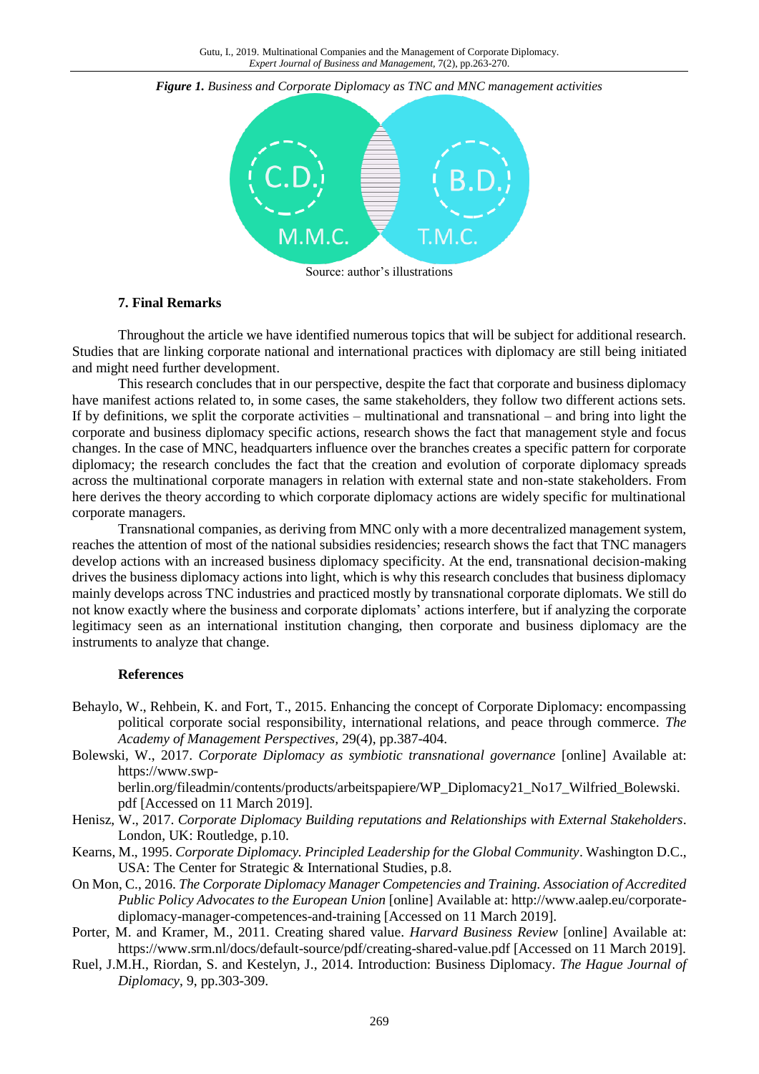

*Figure 1. Business and Corporate Diplomacy as TNC and MNC management activities*

Source: author's illustrations

#### **7. Final Remarks**

Throughout the article we have identified numerous topics that will be subject for additional research. Studies that are linking corporate national and international practices with diplomacy are still being initiated and might need further development.

This research concludes that in our perspective, despite the fact that corporate and business diplomacy have manifest actions related to, in some cases, the same stakeholders, they follow two different actions sets. If by definitions, we split the corporate activities – multinational and transnational – and bring into light the corporate and business diplomacy specific actions, research shows the fact that management style and focus changes. In the case of MNC, headquarters influence over the branches creates a specific pattern for corporate diplomacy; the research concludes the fact that the creation and evolution of corporate diplomacy spreads across the multinational corporate managers in relation with external state and non-state stakeholders. From here derives the theory according to which corporate diplomacy actions are widely specific for multinational corporate managers.

Transnational companies, as deriving from MNC only with a more decentralized management system, reaches the attention of most of the national subsidies residencies; research shows the fact that TNC managers develop actions with an increased business diplomacy specificity. At the end, transnational decision-making drives the business diplomacy actions into light, which is why this research concludes that business diplomacy mainly develops across TNC industries and practiced mostly by transnational corporate diplomats. We still do not know exactly where the business and corporate diplomats' actions interfere, but if analyzing the corporate legitimacy seen as an international institution changing, then corporate and business diplomacy are the instruments to analyze that change.

#### **References**

- Behaylo, W., Rehbein, K. and Fort, T., 2015. Enhancing the concept of Corporate Diplomacy: encompassing political corporate social responsibility, international relations, and peace through commerce. *The Academy of Management Perspectives,* 29(4), pp.387-404.
- Bolewski, W., 2017. *Corporate Diplomacy as symbiotic transnational governance* [online] Available at: https://www.swp-

berlin.org/fileadmin/contents/products/arbeitspapiere/WP\_Diplomacy21\_No17\_Wilfried\_Bolewski. pdf [Accessed on 11 March 2019].

- Henisz, W., 2017. *Corporate Diplomacy Building reputations and Relationships with External Stakeholders*. London, UK: Routledge, p.10.
- Kearns, M., 1995. *Corporate Diplomacy. Principled Leadership for the Global Community*. Washington D.C., USA: The Center for Strategic & International Studies, p.8.
- On Mon, C., 2016. *The Corporate Diplomacy Manager Competencies and Training. Association of Accredited Public Policy Advocates to the European Union* [online] Available at: http://www.aalep.eu/corporatediplomacy-manager-competences-and-training [Accessed on 11 March 2019].

Porter, M. and Kramer, M., 2011. Creating shared value. *Harvard Business Review* [online] Available at: https://www.srm.nl/docs/default-source/pdf/creating-shared-value.pdf [Accessed on 11 March 2019].

Ruel, J.M.H., Riordan, S. and Kestelyn, J., 2014. Introduction: Business Diplomacy. *The Hague Journal of Diplomacy*, 9, pp.303-309.